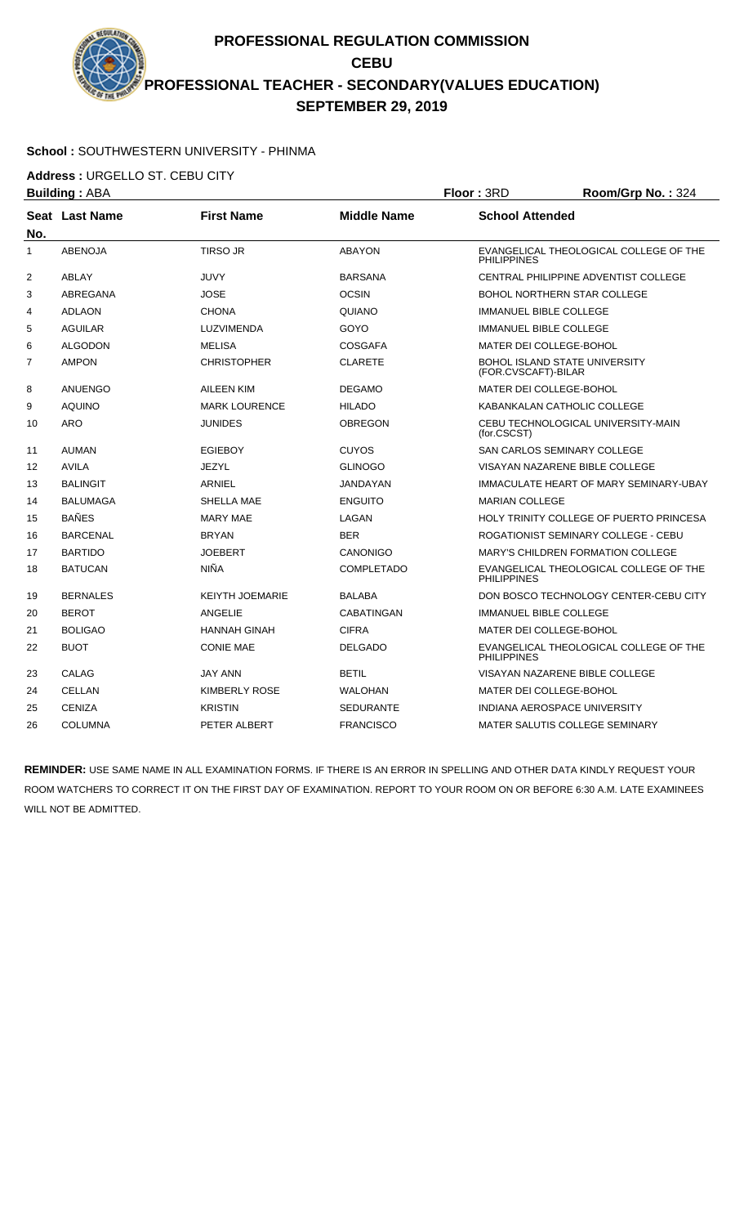**PROFESSIONAL REGULATION COMMISSION CEBU PROFESSIONAL TEACHER - SECONDARY(VALUES EDUCATION) SEPTEMBER 29, 2019**

## **School :** SOUTHWESTERN UNIVERSITY - PHINMA

**Address :** URGELLO ST. CEBU CITY

|     | <b>Building: ABA</b> |                        | Floor: 3RD         | Room/Grp No.: 324             |                                                             |  |
|-----|----------------------|------------------------|--------------------|-------------------------------|-------------------------------------------------------------|--|
| No. | Seat Last Name       | <b>First Name</b>      | <b>Middle Name</b> |                               | <b>School Attended</b>                                      |  |
| 1   | <b>ABENOJA</b>       | <b>TIRSO JR</b>        | <b>ABAYON</b>      | <b>PHILIPPINES</b>            | EVANGELICAL THEOLOGICAL COLLEGE OF THE                      |  |
| 2   | ABLAY                | <b>JUVY</b>            | <b>BARSANA</b>     |                               | CENTRAL PHILIPPINE ADVENTIST COLLEGE                        |  |
| 3   | ABREGANA             | <b>JOSE</b>            | <b>OCSIN</b>       |                               | <b>BOHOL NORTHERN STAR COLLEGE</b>                          |  |
| 4   | <b>ADLAON</b>        | <b>CHONA</b>           | QUIANO             |                               | <b>IMMANUEL BIBLE COLLEGE</b>                               |  |
| 5   | <b>AGUILAR</b>       | <b>LUZVIMENDA</b>      | GOYO               |                               | <b>IMMANUEL BIBLE COLLEGE</b>                               |  |
| 6   | <b>ALGODON</b>       | <b>MELISA</b>          | <b>COSGAFA</b>     |                               | MATER DEI COLLEGE-BOHOL                                     |  |
| 7   | <b>AMPON</b>         | <b>CHRISTOPHER</b>     | <b>CLARETE</b>     |                               | <b>BOHOL ISLAND STATE UNIVERSITY</b><br>(FOR.CVSCAFT)-BILAR |  |
| 8   | <b>ANUENGO</b>       | AILEEN KIM             | <b>DEGAMO</b>      |                               | <b>MATER DEI COLLEGE-BOHOL</b>                              |  |
| 9   | <b>AQUINO</b>        | <b>MARK LOURENCE</b>   | <b>HILADO</b>      |                               | KABANKALAN CATHOLIC COLLEGE                                 |  |
| 10  | <b>ARO</b>           | <b>JUNIDES</b>         | <b>OBREGON</b>     | (for.CSCST)                   | CEBU TECHNOLOGICAL UNIVERSITY-MAIN                          |  |
| 11  | <b>AUMAN</b>         | <b>EGIEBOY</b>         | <b>CUYOS</b>       |                               | <b>SAN CARLOS SEMINARY COLLEGE</b>                          |  |
| 12  | <b>AVILA</b>         | JEZYL                  | <b>GLINOGO</b>     |                               | VISAYAN NAZARENE BIBLE COLLEGE                              |  |
| 13  | <b>BALINGIT</b>      | <b>ARNIEL</b>          | <b>JANDAYAN</b>    |                               | IMMACULATE HEART OF MARY SEMINARY-UBAY                      |  |
| 14  | <b>BALUMAGA</b>      | SHELLA MAE             | <b>ENGUITO</b>     | <b>MARIAN COLLEGE</b>         |                                                             |  |
| 15  | <b>BAÑES</b>         | <b>MARY MAE</b>        | LAGAN              |                               | HOLY TRINITY COLLEGE OF PUERTO PRINCESA                     |  |
| 16  | <b>BARCENAL</b>      | <b>BRYAN</b>           | <b>BER</b>         |                               | ROGATIONIST SEMINARY COLLEGE - CEBU                         |  |
| 17  | <b>BARTIDO</b>       | <b>JOEBERT</b>         | CANONIGO           |                               | <b>MARY'S CHILDREN FORMATION COLLEGE</b>                    |  |
| 18  | <b>BATUCAN</b>       | <b>NIÑA</b>            | <b>COMPLETADO</b>  | <b>PHILIPPINES</b>            | EVANGELICAL THEOLOGICAL COLLEGE OF THE                      |  |
| 19  | <b>BERNALES</b>      | <b>KEIYTH JOEMARIE</b> | <b>BALABA</b>      |                               | DON BOSCO TECHNOLOGY CENTER-CEBU CITY                       |  |
| 20  | <b>BEROT</b>         | <b>ANGELIE</b>         | CABATINGAN         | <b>IMMANUEL BIBLE COLLEGE</b> |                                                             |  |
| 21  | <b>BOLIGAO</b>       | HANNAH GINAH           | <b>CIFRA</b>       | MATER DEI COLLEGE-BOHOL       |                                                             |  |
| 22  | <b>BUOT</b>          | <b>CONIE MAE</b>       | <b>DELGADO</b>     | <b>PHILIPPINES</b>            | EVANGELICAL THEOLOGICAL COLLEGE OF THE                      |  |
| 23  | CALAG                | <b>JAY ANN</b>         | <b>BETIL</b>       |                               | VISAYAN NAZARENE BIBLE COLLEGE                              |  |
| 24  | <b>CELLAN</b>        | KIMBERLY ROSE          | <b>WALOHAN</b>     | MATER DEI COLLEGE-BOHOL       |                                                             |  |
| 25  | <b>CENIZA</b>        | <b>KRISTIN</b>         | <b>SEDURANTE</b>   |                               | <b>INDIANA AEROSPACE UNIVERSITY</b>                         |  |
| 26  | <b>COLUMNA</b>       | PETER ALBERT           | <b>FRANCISCO</b>   |                               | MATER SALUTIS COLLEGE SEMINARY                              |  |

**REMINDER:** USE SAME NAME IN ALL EXAMINATION FORMS. IF THERE IS AN ERROR IN SPELLING AND OTHER DATA KINDLY REQUEST YOUR ROOM WATCHERS TO CORRECT IT ON THE FIRST DAY OF EXAMINATION. REPORT TO YOUR ROOM ON OR BEFORE 6:30 A.M. LATE EXAMINEES WILL NOT BE ADMITTED.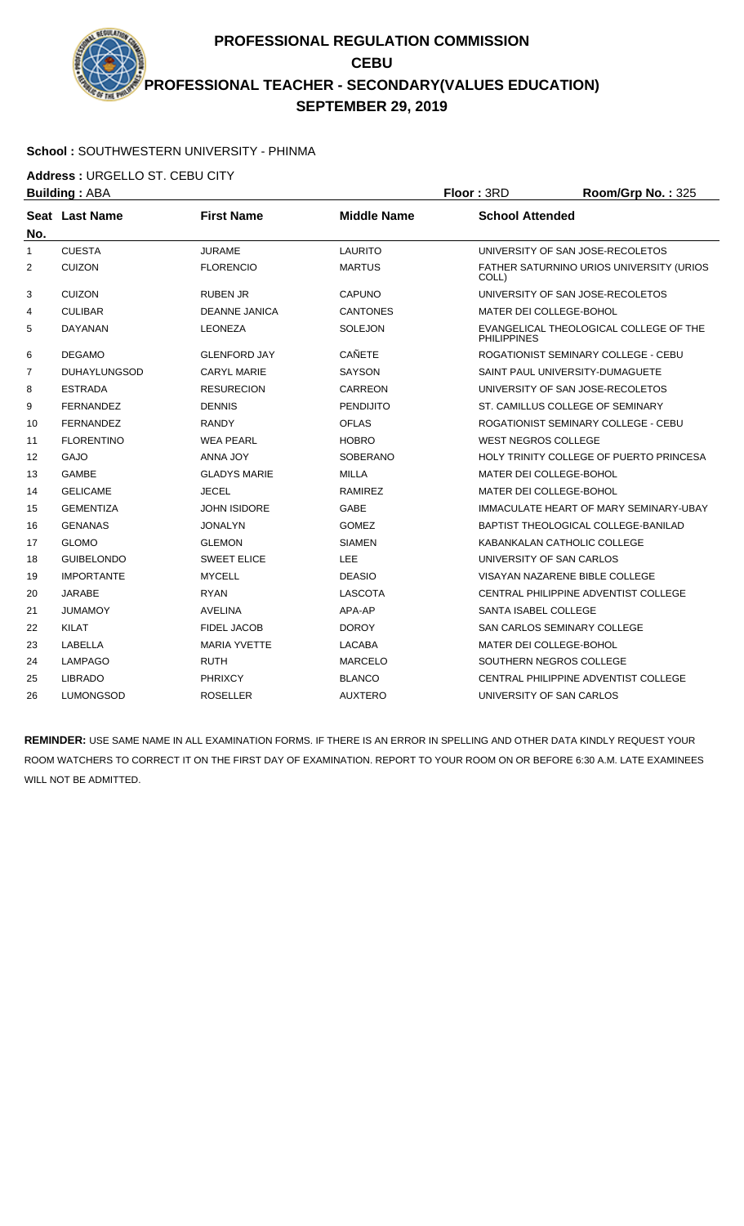**PROFESSIONAL REGULATION COMMISSION CEBU PROFESSIONAL TEACHER - SECONDARY(VALUES EDUCATION) SEPTEMBER 29, 2019**

## **School :** SOUTHWESTERN UNIVERSITY - PHINMA

**Address :** URGELLO ST. CEBU CITY

**Building : ABA Floor : 3RD Room/Grp No. : 325 Seat** Last Name **No. Last Name First Name Middle Name School Attended** 1 CUESTA JURAME LAURITO UNIVERSITY OF SAN JOSE-RECOLETOS 2 CUIZON FLORENCIO MARTUS FATHER SATURNINO URIOS UNIVERSITY (URIOS COLL) 3 CUIZON RUBEN JR CAPUNO UNIVERSITY OF SAN JOSE-RECOLETOS 4 CULIBAR DEANNE JANICA CANTONES MATER DEI COLLEGE-BOHOL 5 DAYANAN LEONEZA SOLEJON EVANGELICAL THEOLOGICAL COLLEGE OF THE PHILIPPINES 6 DEGAMO GLENFORD JAY CAÑETE ROGATIONIST SEMINARY COLLEGE - CEBU 7 DUHAYLUNGSOD CARYL MARIE SAYSON SAINT PAUL UNIVERSITY-DUMAGUETE 8 ESTRADA RESURECION CARREON UNIVERSITY OF SAN JOSE-RECOLETOS 9 FERNANDEZ DENNIS PENDIJITO ST. CAMILLUS COLLEGE OF SEMINARY 10 FERNANDEZ RANDY OFLAS ROGATIONIST SEMINARY COLLEGE - CEBU 11 FLORENTINO WEA PEARL HOBRO WEST NEGROS COLLEGE 12 GAJO ANNA JOY SOBERANO HOLY TRINITY COLLEGE OF PUERTO PRINCESA 13 GAMBE GLADYS MARIE MILLA MATER DEI COLLEGE-BOHOL 14 GELICAME JECEL JECEL RAMIREZ MATER DEI COLLEGE-BOHOL 15 GEMENTIZA JOHN ISIDORE GABE IMMACULATE HEART OF MARY SEMINARY-UBAY 16 GENANAS JONALYN GOMEZ BAPTIST THEOLOGICAL COLLEGE-BANILAD 17 GLOMO GLEMON SIAMEN KABANKALAN CATHOLIC COLLEGE 18 GUIBELONDO SWEET ELICE LEE LEE UNIVERSITY OF SAN CARLOS 19 IMPORTANTE MYCELL DEASIO DEASIO VISAYAN NAZARENE BIBLE COLLEGE 20 JARABE RYAN LASCOTA CENTRAL PHILIPPINE ADVENTIST COLLEGE 21 JUMAMOY AVELINA APA-AP SANTA ISABEL COLLEGE 22 KILAT FIDEL JACOB DOROY SAN CARLOS SEMINARY COLLEGE 23 LABELLA MARIA YVETTE LACABA MATER DEI COLLEGE-BOHOL 24 LAMPAGO RUTH MARCELO SOUTHERN NEGROS COLLEGE 25 LIBRADO PHRIXCY BLANCO CENTRAL PHILIPPINE ADVENTIST COLLEGE

**REMINDER:** USE SAME NAME IN ALL EXAMINATION FORMS. IF THERE IS AN ERROR IN SPELLING AND OTHER DATA KINDLY REQUEST YOUR ROOM WATCHERS TO CORRECT IT ON THE FIRST DAY OF EXAMINATION. REPORT TO YOUR ROOM ON OR BEFORE 6:30 A.M. LATE EXAMINEES WILL NOT BE ADMITTED.

26 LUMONGSOD ROSELLER AUXTERO UNIVERSITY OF SAN CARLOS